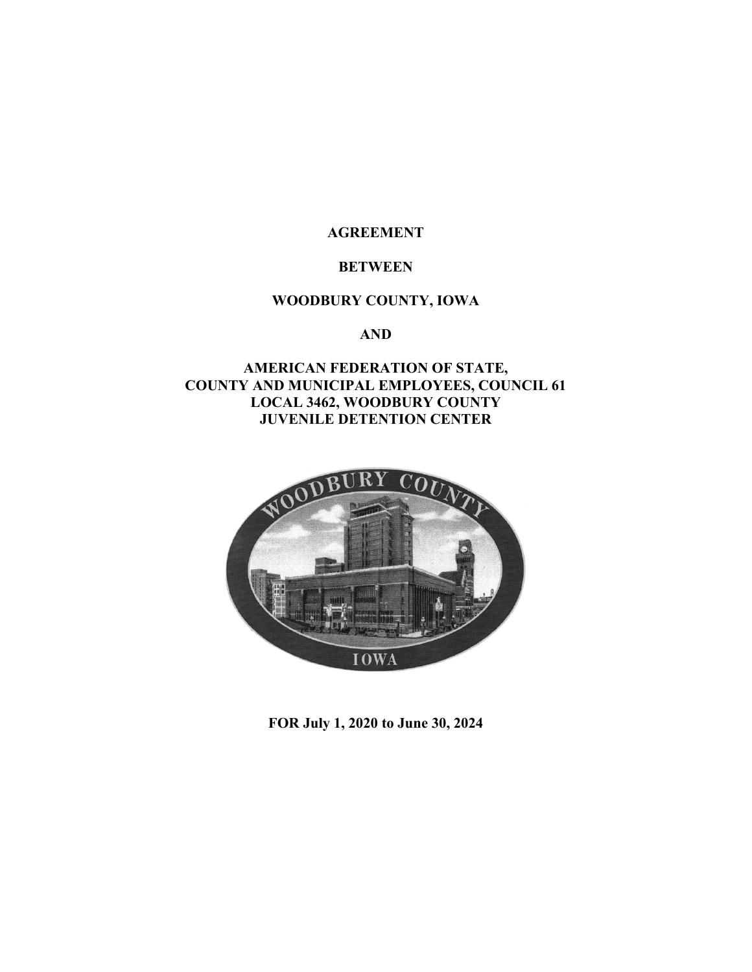**AGREEMENT** 

### **BETWEEN**

## **WOODBURY COUNTY, IOWA**

 **AND** 

## **AMERICAN FEDERATION OF STATE, COUNTY AND MUNICIPAL EMPLOYEES, COUNCIL 61 LOCAL 3462, WOODBURY COUNTY JUVENILE DETENTION CENTER**



 **FOR July 1, 2020 to June 30, 2024**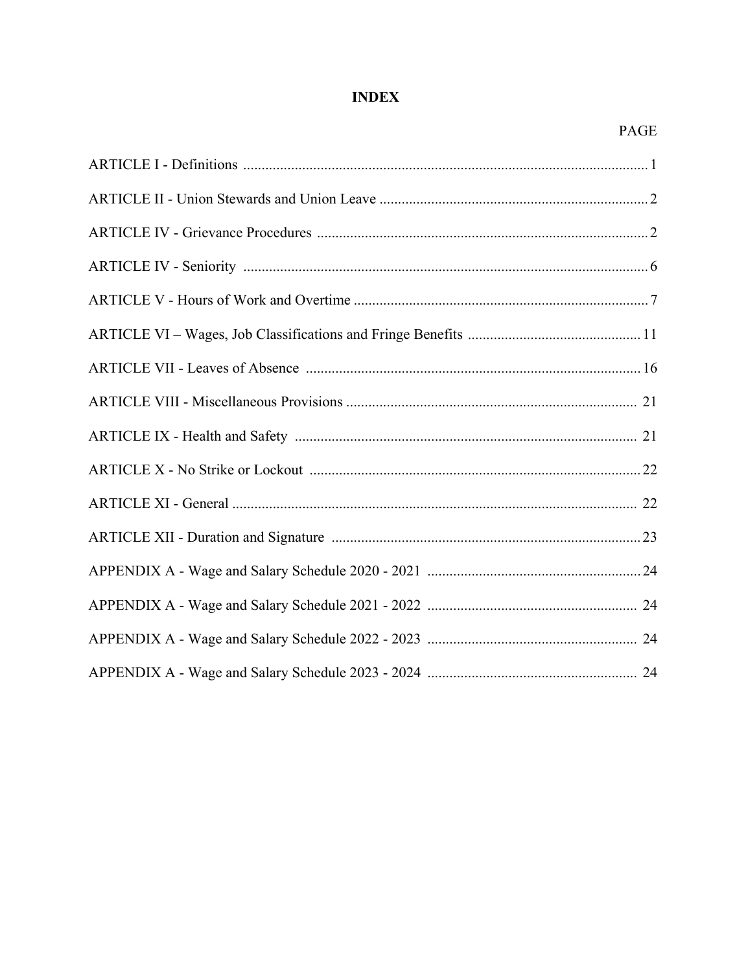# **INDEX**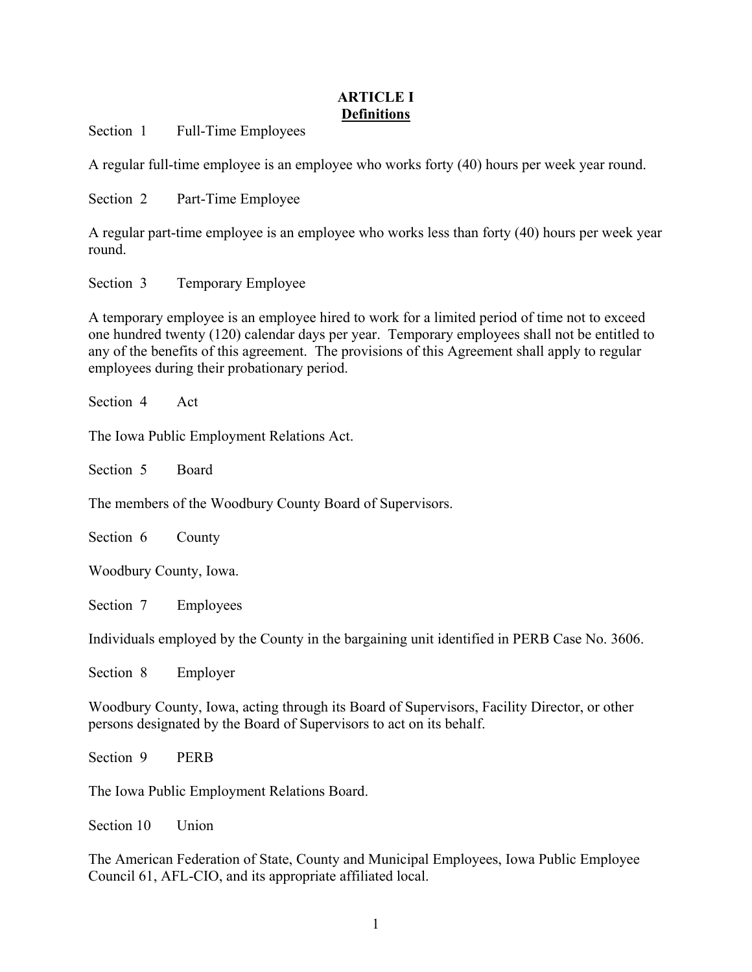## **ARTICLE I Definitions**

Section 1 Full-Time Employees

A regular full-time employee is an employee who works forty (40) hours per week year round.

Section 2 Part-Time Employee

A regular part-time employee is an employee who works less than forty (40) hours per week year round.

Section 3 Temporary Employee

A temporary employee is an employee hired to work for a limited period of time not to exceed one hundred twenty (120) calendar days per year. Temporary employees shall not be entitled to any of the benefits of this agreement. The provisions of this Agreement shall apply to regular employees during their probationary period.

Section 4 Act

The Iowa Public Employment Relations Act.

Section 5 Board

The members of the Woodbury County Board of Supervisors.

Section 6 County

Woodbury County, Iowa.

Section 7 Employees

Individuals employed by the County in the bargaining unit identified in PERB Case No. 3606.

Section 8 Employer

Woodbury County, Iowa, acting through its Board of Supervisors, Facility Director, or other persons designated by the Board of Supervisors to act on its behalf.

Section 9 PERB

The Iowa Public Employment Relations Board.

Section 10 Union

The American Federation of State, County and Municipal Employees, Iowa Public Employee Council 61, AFL-CIO, and its appropriate affiliated local.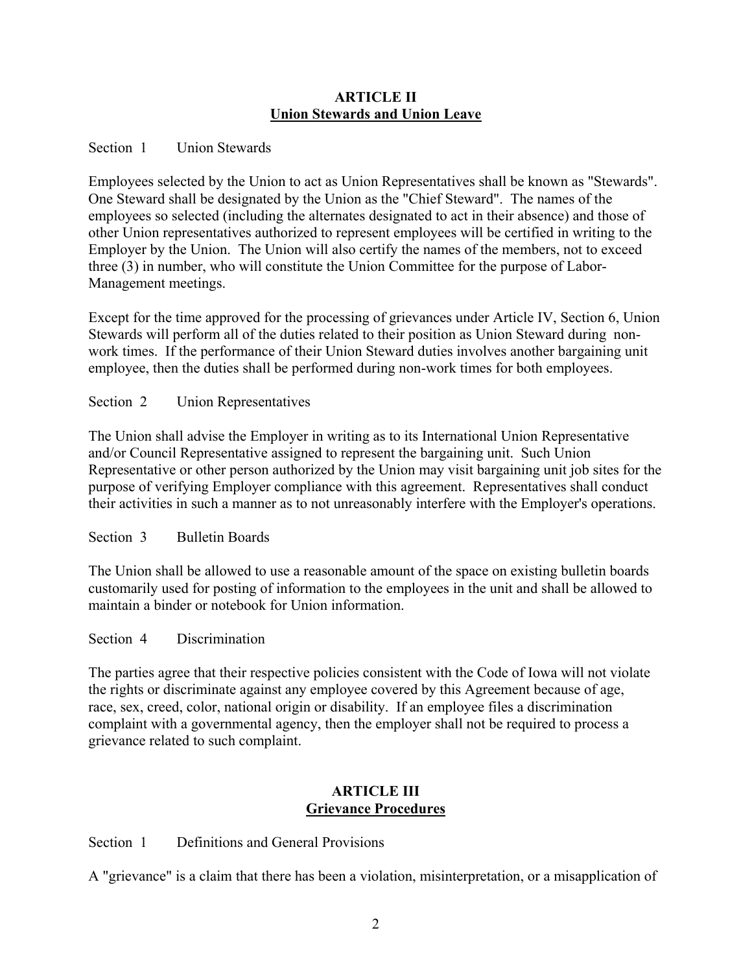### **ARTICLE II Union Stewards and Union Leave**

## Section 1 Union Stewards

Employees selected by the Union to act as Union Representatives shall be known as "Stewards". One Steward shall be designated by the Union as the "Chief Steward". The names of the employees so selected (including the alternates designated to act in their absence) and those of other Union representatives authorized to represent employees will be certified in writing to the Employer by the Union. The Union will also certify the names of the members, not to exceed three (3) in number, who will constitute the Union Committee for the purpose of Labor-Management meetings.

Except for the time approved for the processing of grievances under Article IV, Section 6, Union Stewards will perform all of the duties related to their position as Union Steward during nonwork times. If the performance of their Union Steward duties involves another bargaining unit employee, then the duties shall be performed during non-work times for both employees.

Section 2 Union Representatives

The Union shall advise the Employer in writing as to its International Union Representative and/or Council Representative assigned to represent the bargaining unit. Such Union Representative or other person authorized by the Union may visit bargaining unit job sites for the purpose of verifying Employer compliance with this agreement. Representatives shall conduct their activities in such a manner as to not unreasonably interfere with the Employer's operations.

Section 3 Bulletin Boards

The Union shall be allowed to use a reasonable amount of the space on existing bulletin boards customarily used for posting of information to the employees in the unit and shall be allowed to maintain a binder or notebook for Union information.

Section 4 Discrimination

The parties agree that their respective policies consistent with the Code of Iowa will not violate the rights or discriminate against any employee covered by this Agreement because of age, race, sex, creed, color, national origin or disability. If an employee files a discrimination complaint with a governmental agency, then the employer shall not be required to process a grievance related to such complaint.

## **ARTICLE III Grievance Procedures**

Section 1 Definitions and General Provisions

A "grievance" is a claim that there has been a violation, misinterpretation, or a misapplication of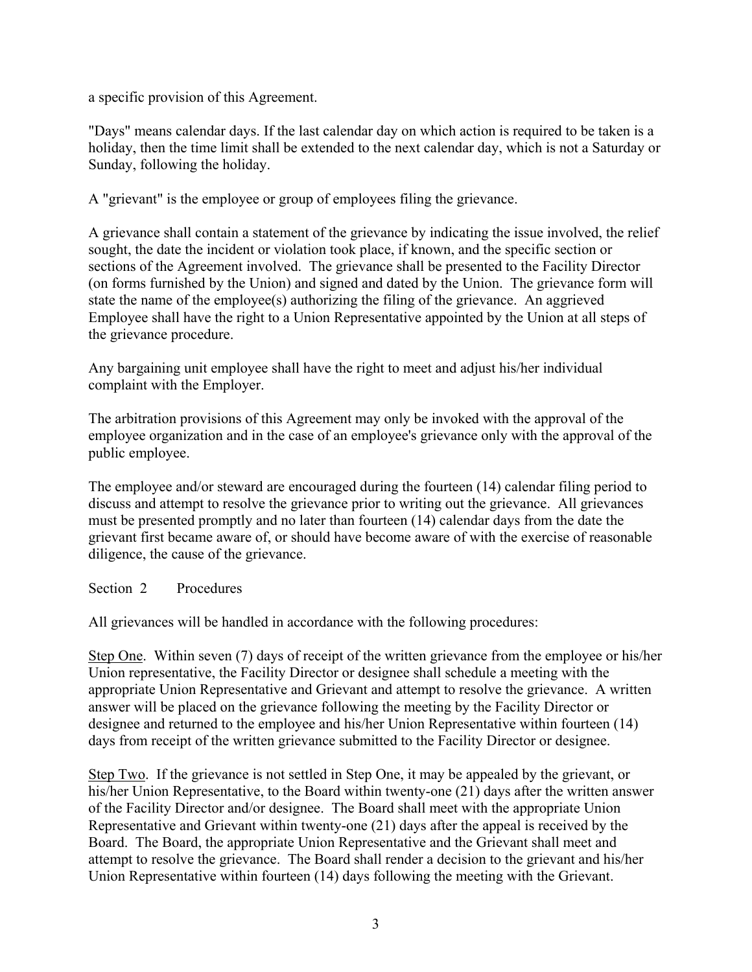a specific provision of this Agreement.

"Days" means calendar days. If the last calendar day on which action is required to be taken is a holiday, then the time limit shall be extended to the next calendar day, which is not a Saturday or Sunday, following the holiday.

A "grievant" is the employee or group of employees filing the grievance.

A grievance shall contain a statement of the grievance by indicating the issue involved, the relief sought, the date the incident or violation took place, if known, and the specific section or sections of the Agreement involved. The grievance shall be presented to the Facility Director (on forms furnished by the Union) and signed and dated by the Union. The grievance form will state the name of the employee(s) authorizing the filing of the grievance. An aggrieved Employee shall have the right to a Union Representative appointed by the Union at all steps of the grievance procedure.

Any bargaining unit employee shall have the right to meet and adjust his/her individual complaint with the Employer.

The arbitration provisions of this Agreement may only be invoked with the approval of the employee organization and in the case of an employee's grievance only with the approval of the public employee.

The employee and/or steward are encouraged during the fourteen (14) calendar filing period to discuss and attempt to resolve the grievance prior to writing out the grievance. All grievances must be presented promptly and no later than fourteen (14) calendar days from the date the grievant first became aware of, or should have become aware of with the exercise of reasonable diligence, the cause of the grievance.

Section 2 Procedures

All grievances will be handled in accordance with the following procedures:

Step One. Within seven (7) days of receipt of the written grievance from the employee or his/her Union representative, the Facility Director or designee shall schedule a meeting with the appropriate Union Representative and Grievant and attempt to resolve the grievance. A written answer will be placed on the grievance following the meeting by the Facility Director or designee and returned to the employee and his/her Union Representative within fourteen (14) days from receipt of the written grievance submitted to the Facility Director or designee.

Step Two. If the grievance is not settled in Step One, it may be appealed by the grievant, or his/her Union Representative, to the Board within twenty-one (21) days after the written answer of the Facility Director and/or designee. The Board shall meet with the appropriate Union Representative and Grievant within twenty-one (21) days after the appeal is received by the Board. The Board, the appropriate Union Representative and the Grievant shall meet and attempt to resolve the grievance. The Board shall render a decision to the grievant and his/her Union Representative within fourteen (14) days following the meeting with the Grievant.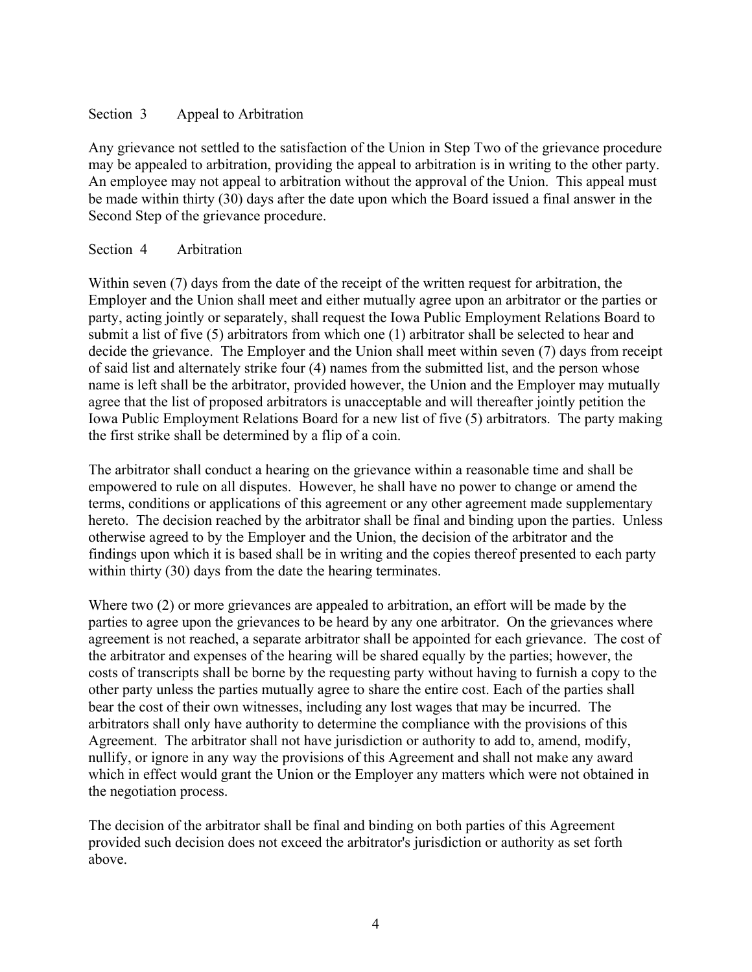## Section 3 Appeal to Arbitration

Any grievance not settled to the satisfaction of the Union in Step Two of the grievance procedure may be appealed to arbitration, providing the appeal to arbitration is in writing to the other party. An employee may not appeal to arbitration without the approval of the Union. This appeal must be made within thirty (30) days after the date upon which the Board issued a final answer in the Second Step of the grievance procedure.

## Section 4 Arbitration

Within seven (7) days from the date of the receipt of the written request for arbitration, the Employer and the Union shall meet and either mutually agree upon an arbitrator or the parties or party, acting jointly or separately, shall request the Iowa Public Employment Relations Board to submit a list of five (5) arbitrators from which one (1) arbitrator shall be selected to hear and decide the grievance. The Employer and the Union shall meet within seven (7) days from receipt of said list and alternately strike four (4) names from the submitted list, and the person whose name is left shall be the arbitrator, provided however, the Union and the Employer may mutually agree that the list of proposed arbitrators is unacceptable and will thereafter jointly petition the Iowa Public Employment Relations Board for a new list of five (5) arbitrators. The party making the first strike shall be determined by a flip of a coin.

The arbitrator shall conduct a hearing on the grievance within a reasonable time and shall be empowered to rule on all disputes. However, he shall have no power to change or amend the terms, conditions or applications of this agreement or any other agreement made supplementary hereto. The decision reached by the arbitrator shall be final and binding upon the parties. Unless otherwise agreed to by the Employer and the Union, the decision of the arbitrator and the findings upon which it is based shall be in writing and the copies thereof presented to each party within thirty (30) days from the date the hearing terminates.

Where two (2) or more grievances are appealed to arbitration, an effort will be made by the parties to agree upon the grievances to be heard by any one arbitrator. On the grievances where agreement is not reached, a separate arbitrator shall be appointed for each grievance. The cost of the arbitrator and expenses of the hearing will be shared equally by the parties; however, the costs of transcripts shall be borne by the requesting party without having to furnish a copy to the other party unless the parties mutually agree to share the entire cost. Each of the parties shall bear the cost of their own witnesses, including any lost wages that may be incurred. The arbitrators shall only have authority to determine the compliance with the provisions of this Agreement. The arbitrator shall not have jurisdiction or authority to add to, amend, modify, nullify, or ignore in any way the provisions of this Agreement and shall not make any award which in effect would grant the Union or the Employer any matters which were not obtained in the negotiation process.

The decision of the arbitrator shall be final and binding on both parties of this Agreement provided such decision does not exceed the arbitrator's jurisdiction or authority as set forth above.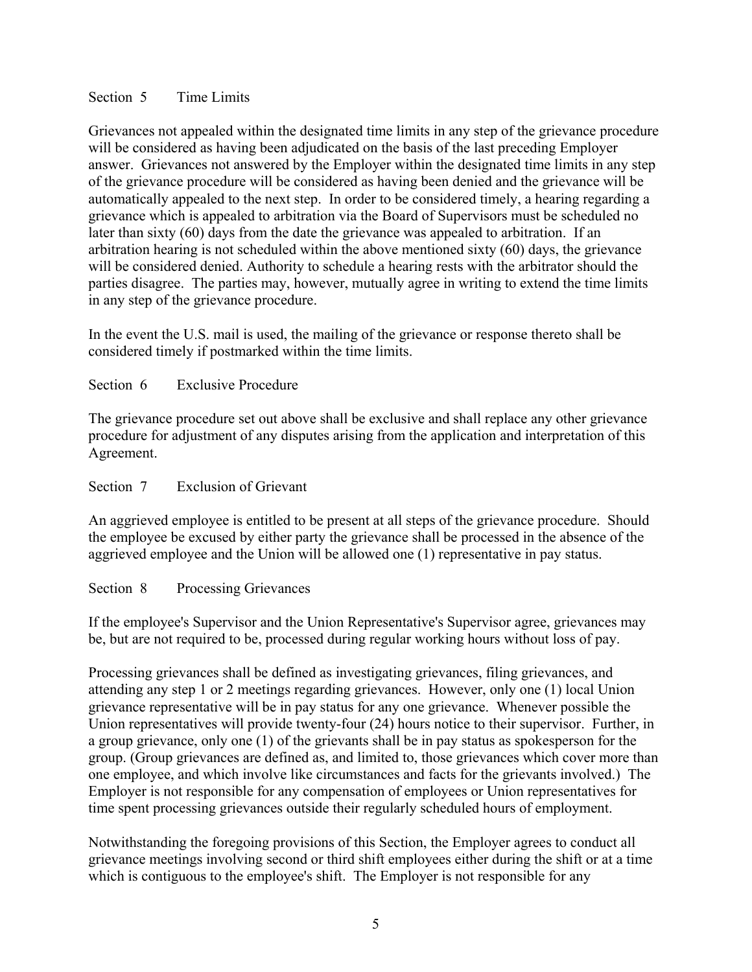### Section 5 Time Limits

Grievances not appealed within the designated time limits in any step of the grievance procedure will be considered as having been adjudicated on the basis of the last preceding Employer answer. Grievances not answered by the Employer within the designated time limits in any step of the grievance procedure will be considered as having been denied and the grievance will be automatically appealed to the next step. In order to be considered timely, a hearing regarding a grievance which is appealed to arbitration via the Board of Supervisors must be scheduled no later than sixty (60) days from the date the grievance was appealed to arbitration. If an arbitration hearing is not scheduled within the above mentioned sixty (60) days, the grievance will be considered denied. Authority to schedule a hearing rests with the arbitrator should the parties disagree. The parties may, however, mutually agree in writing to extend the time limits in any step of the grievance procedure.

In the event the U.S. mail is used, the mailing of the grievance or response thereto shall be considered timely if postmarked within the time limits.

## Section 6 Exclusive Procedure

The grievance procedure set out above shall be exclusive and shall replace any other grievance procedure for adjustment of any disputes arising from the application and interpretation of this Agreement.

### Section 7 Exclusion of Grievant

An aggrieved employee is entitled to be present at all steps of the grievance procedure. Should the employee be excused by either party the grievance shall be processed in the absence of the aggrieved employee and the Union will be allowed one (1) representative in pay status.

### Section 8 Processing Grievances

If the employee's Supervisor and the Union Representative's Supervisor agree, grievances may be, but are not required to be, processed during regular working hours without loss of pay.

Processing grievances shall be defined as investigating grievances, filing grievances, and attending any step 1 or 2 meetings regarding grievances. However, only one (1) local Union grievance representative will be in pay status for any one grievance. Whenever possible the Union representatives will provide twenty-four (24) hours notice to their supervisor. Further, in a group grievance, only one (1) of the grievants shall be in pay status as spokesperson for the group. (Group grievances are defined as, and limited to, those grievances which cover more than one employee, and which involve like circumstances and facts for the grievants involved.) The Employer is not responsible for any compensation of employees or Union representatives for time spent processing grievances outside their regularly scheduled hours of employment.

Notwithstanding the foregoing provisions of this Section, the Employer agrees to conduct all grievance meetings involving second or third shift employees either during the shift or at a time which is contiguous to the employee's shift. The Employer is not responsible for any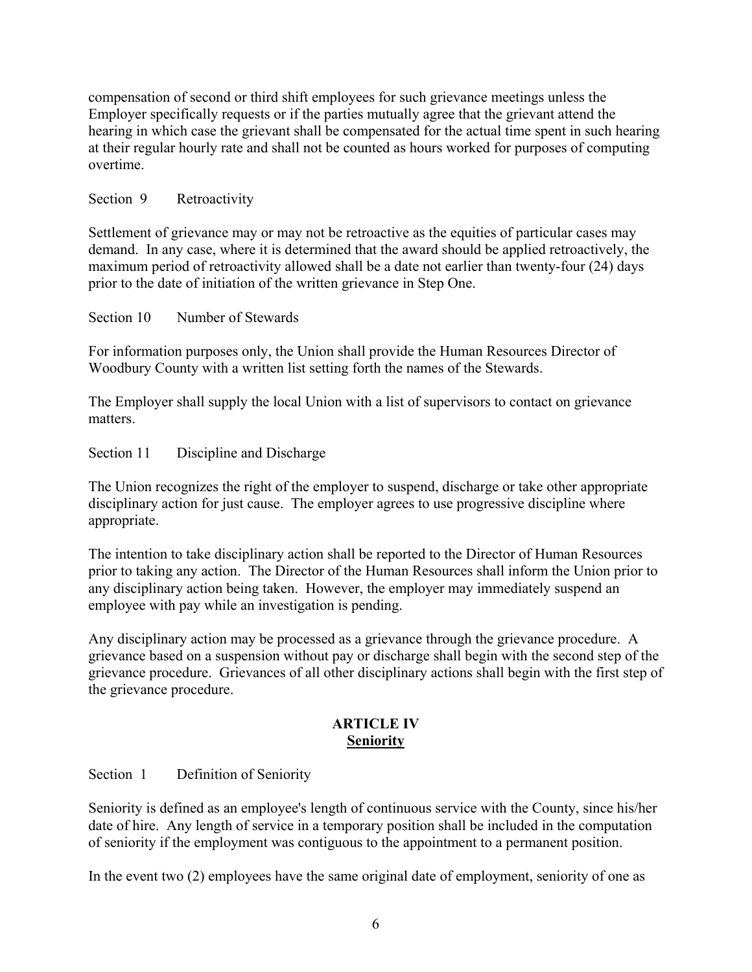compensation of second or third shift employees for such grievance meetings unless the Employer specifically requests or if the parties mutually agree that the grievant attend the hearing in which case the grievant shall be compensated for the actual time spent in such hearing at their regular hourly rate and shall not be counted as hours worked for purposes of computing overtime.

## Section 9 Retroactivity

Settlement of grievance may or may not be retroactive as the equities of particular cases may demand. In any case, where it is determined that the award should be applied retroactively, the maximum period of retroactivity allowed shall be a date not earlier than twenty-four (24) days prior to the date of initiation of the written grievance in Step One.

Section 10 Number of Stewards

For information purposes only, the Union shall provide the Human Resources Director of Woodbury County with a written list setting forth the names of the Stewards.

The Employer shall supply the local Union with a list of supervisors to contact on grievance matters.

Section 11 Discipline and Discharge

The Union recognizes the right of the employer to suspend, discharge or take other appropriate disciplinary action for just cause. The employer agrees to use progressive discipline where appropriate.

The intention to take disciplinary action shall be reported to the Director of Human Resources prior to taking any action. The Director of the Human Resources shall inform the Union prior to any disciplinary action being taken. However, the employer may immediately suspend an employee with pay while an investigation is pending.

Any disciplinary action may be processed as a grievance through the grievance procedure. A grievance based on a suspension without pay or discharge shall begin with the second step of the grievance procedure. Grievances of all other disciplinary actions shall begin with the first step of the grievance procedure.

## **ARTICLE IV Seniority**

Section 1 Definition of Seniority

Seniority is defined as an employee's length of continuous service with the County, since his/her date of hire. Any length of service in a temporary position shall be included in the computation of seniority if the employment was contiguous to the appointment to a permanent position.

In the event two (2) employees have the same original date of employment, seniority of one as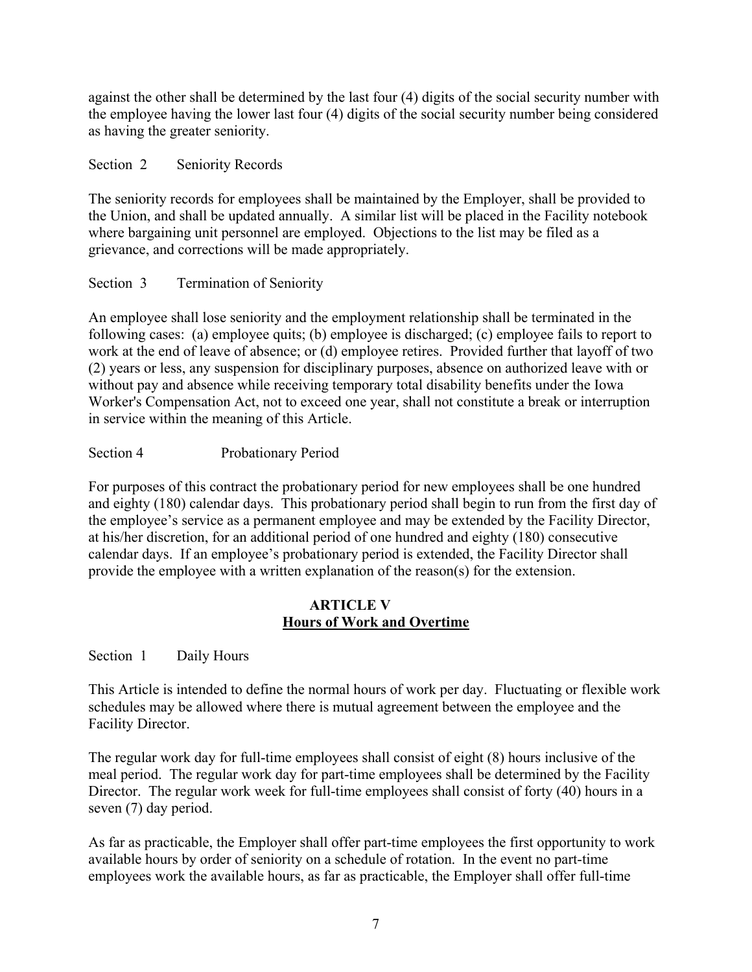against the other shall be determined by the last four (4) digits of the social security number with the employee having the lower last four (4) digits of the social security number being considered as having the greater seniority.

Section 2 Seniority Records

The seniority records for employees shall be maintained by the Employer, shall be provided to the Union, and shall be updated annually. A similar list will be placed in the Facility notebook where bargaining unit personnel are employed. Objections to the list may be filed as a grievance, and corrections will be made appropriately.

Section 3 Termination of Seniority

An employee shall lose seniority and the employment relationship shall be terminated in the following cases: (a) employee quits; (b) employee is discharged; (c) employee fails to report to work at the end of leave of absence; or (d) employee retires. Provided further that layoff of two (2) years or less, any suspension for disciplinary purposes, absence on authorized leave with or without pay and absence while receiving temporary total disability benefits under the Iowa Worker's Compensation Act, not to exceed one year, shall not constitute a break or interruption in service within the meaning of this Article.

Section 4 Probationary Period

For purposes of this contract the probationary period for new employees shall be one hundred and eighty (180) calendar days. This probationary period shall begin to run from the first day of the employee's service as a permanent employee and may be extended by the Facility Director, at his/her discretion, for an additional period of one hundred and eighty (180) consecutive calendar days. If an employee's probationary period is extended, the Facility Director shall provide the employee with a written explanation of the reason(s) for the extension.

## **ARTICLE V Hours of Work and Overtime**

Section 1 Daily Hours

This Article is intended to define the normal hours of work per day. Fluctuating or flexible work schedules may be allowed where there is mutual agreement between the employee and the Facility Director.

The regular work day for full-time employees shall consist of eight (8) hours inclusive of the meal period. The regular work day for part-time employees shall be determined by the Facility Director. The regular work week for full-time employees shall consist of forty (40) hours in a seven (7) day period.

As far as practicable, the Employer shall offer part-time employees the first opportunity to work available hours by order of seniority on a schedule of rotation. In the event no part-time employees work the available hours, as far as practicable, the Employer shall offer full-time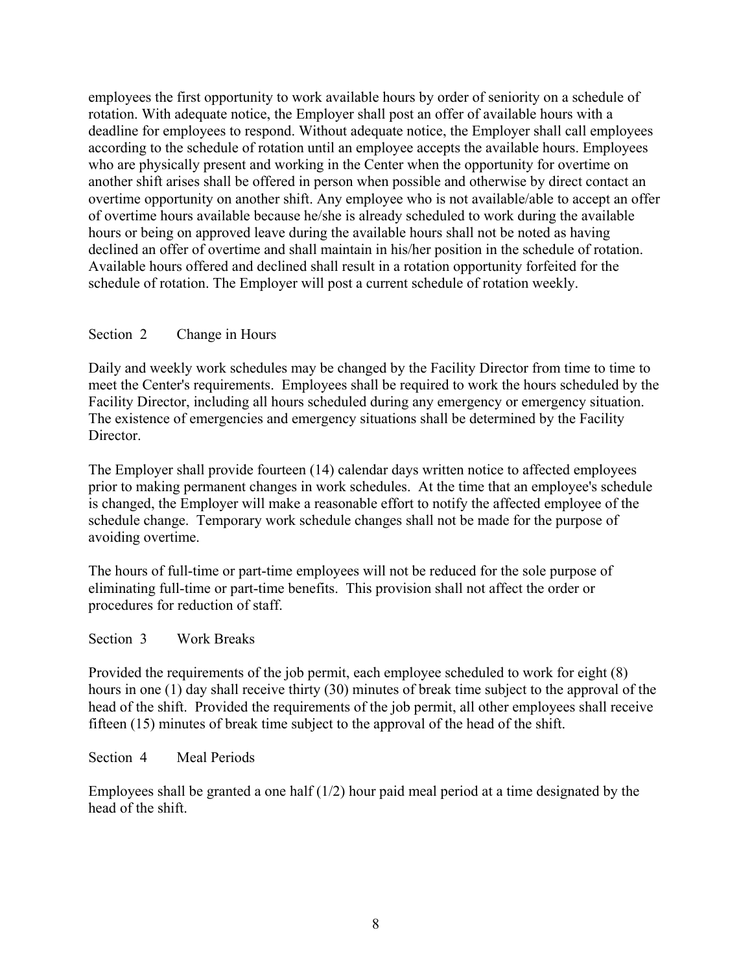employees the first opportunity to work available hours by order of seniority on a schedule of rotation. With adequate notice, the Employer shall post an offer of available hours with a deadline for employees to respond. Without adequate notice, the Employer shall call employees according to the schedule of rotation until an employee accepts the available hours. Employees who are physically present and working in the Center when the opportunity for overtime on another shift arises shall be offered in person when possible and otherwise by direct contact an overtime opportunity on another shift. Any employee who is not available/able to accept an offer of overtime hours available because he/she is already scheduled to work during the available hours or being on approved leave during the available hours shall not be noted as having declined an offer of overtime and shall maintain in his/her position in the schedule of rotation. Available hours offered and declined shall result in a rotation opportunity forfeited for the schedule of rotation. The Employer will post a current schedule of rotation weekly.

## Section 2 Change in Hours

Daily and weekly work schedules may be changed by the Facility Director from time to time to meet the Center's requirements. Employees shall be required to work the hours scheduled by the Facility Director, including all hours scheduled during any emergency or emergency situation. The existence of emergencies and emergency situations shall be determined by the Facility Director.

The Employer shall provide fourteen (14) calendar days written notice to affected employees prior to making permanent changes in work schedules. At the time that an employee's schedule is changed, the Employer will make a reasonable effort to notify the affected employee of the schedule change. Temporary work schedule changes shall not be made for the purpose of avoiding overtime.

The hours of full-time or part-time employees will not be reduced for the sole purpose of eliminating full-time or part-time benefits. This provision shall not affect the order or procedures for reduction of staff.

### Section 3 Work Breaks

Provided the requirements of the job permit, each employee scheduled to work for eight (8) hours in one (1) day shall receive thirty (30) minutes of break time subject to the approval of the head of the shift. Provided the requirements of the job permit, all other employees shall receive fifteen (15) minutes of break time subject to the approval of the head of the shift.

### Section 4 Meal Periods

Employees shall be granted a one half  $(1/2)$  hour paid meal period at a time designated by the head of the shift.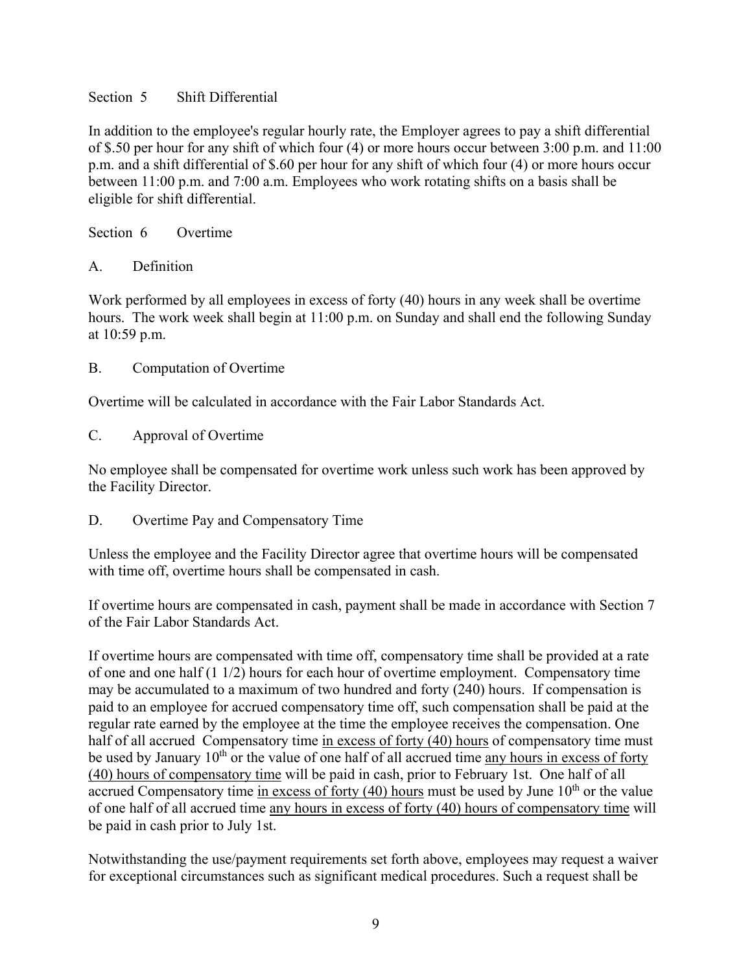## Section 5 Shift Differential

In addition to the employee's regular hourly rate, the Employer agrees to pay a shift differential of \$.50 per hour for any shift of which four (4) or more hours occur between 3:00 p.m. and 11:00 p.m. and a shift differential of \$.60 per hour for any shift of which four (4) or more hours occur between 11:00 p.m. and 7:00 a.m. Employees who work rotating shifts on a basis shall be eligible for shift differential.

Section 6 Overtime

A. Definition

Work performed by all employees in excess of forty (40) hours in any week shall be overtime hours. The work week shall begin at 11:00 p.m. on Sunday and shall end the following Sunday at 10:59 p.m.

B. Computation of Overtime

Overtime will be calculated in accordance with the Fair Labor Standards Act.

C. Approval of Overtime

No employee shall be compensated for overtime work unless such work has been approved by the Facility Director.

D. Overtime Pay and Compensatory Time

Unless the employee and the Facility Director agree that overtime hours will be compensated with time off, overtime hours shall be compensated in cash.

If overtime hours are compensated in cash, payment shall be made in accordance with Section 7 of the Fair Labor Standards Act.

If overtime hours are compensated with time off, compensatory time shall be provided at a rate of one and one half (1 1/2) hours for each hour of overtime employment. Compensatory time may be accumulated to a maximum of two hundred and forty (240) hours. If compensation is paid to an employee for accrued compensatory time off, such compensation shall be paid at the regular rate earned by the employee at the time the employee receives the compensation. One half of all accrued Compensatory time in excess of forty (40) hours of compensatory time must be used by January 10<sup>th</sup> or the value of one half of all accrued time any hours in excess of forty (40) hours of compensatory time will be paid in cash, prior to February 1st. One half of all accrued Compensatory time in excess of forty  $(40)$  hours must be used by June  $10<sup>th</sup>$  or the value of one half of all accrued time any hours in excess of forty (40) hours of compensatory time will be paid in cash prior to July 1st.

Notwithstanding the use/payment requirements set forth above, employees may request a waiver for exceptional circumstances such as significant medical procedures. Such a request shall be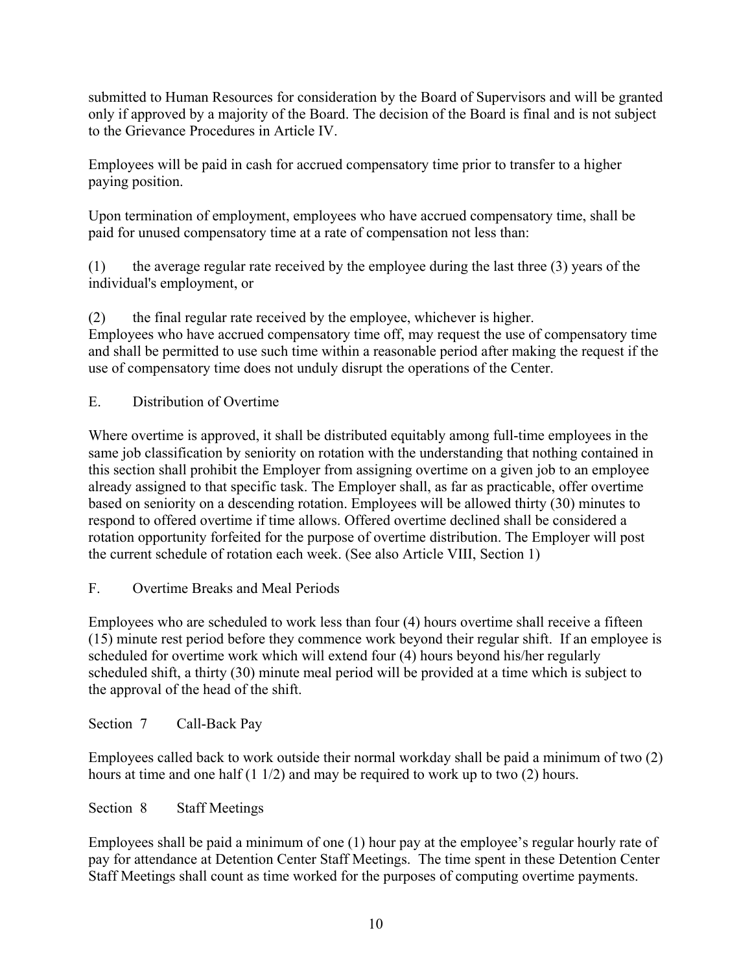submitted to Human Resources for consideration by the Board of Supervisors and will be granted only if approved by a majority of the Board. The decision of the Board is final and is not subject to the Grievance Procedures in Article IV.

Employees will be paid in cash for accrued compensatory time prior to transfer to a higher paying position.

Upon termination of employment, employees who have accrued compensatory time, shall be paid for unused compensatory time at a rate of compensation not less than:

(1) the average regular rate received by the employee during the last three (3) years of the individual's employment, or

(2) the final regular rate received by the employee, whichever is higher. Employees who have accrued compensatory time off, may request the use of compensatory time and shall be permitted to use such time within a reasonable period after making the request if the use of compensatory time does not unduly disrupt the operations of the Center.

E. Distribution of Overtime

Where overtime is approved, it shall be distributed equitably among full-time employees in the same job classification by seniority on rotation with the understanding that nothing contained in this section shall prohibit the Employer from assigning overtime on a given job to an employee already assigned to that specific task. The Employer shall, as far as practicable, offer overtime based on seniority on a descending rotation. Employees will be allowed thirty (30) minutes to respond to offered overtime if time allows. Offered overtime declined shall be considered a rotation opportunity forfeited for the purpose of overtime distribution. The Employer will post the current schedule of rotation each week. (See also Article VIII, Section 1)

F. Overtime Breaks and Meal Periods

Employees who are scheduled to work less than four (4) hours overtime shall receive a fifteen (15) minute rest period before they commence work beyond their regular shift. If an employee is scheduled for overtime work which will extend four (4) hours beyond his/her regularly scheduled shift, a thirty (30) minute meal period will be provided at a time which is subject to the approval of the head of the shift.

Section 7 Call-Back Pay

Employees called back to work outside their normal workday shall be paid a minimum of two (2) hours at time and one half (1 1/2) and may be required to work up to two (2) hours.

Section 8 Staff Meetings

Employees shall be paid a minimum of one (1) hour pay at the employee's regular hourly rate of pay for attendance at Detention Center Staff Meetings. The time spent in these Detention Center Staff Meetings shall count as time worked for the purposes of computing overtime payments.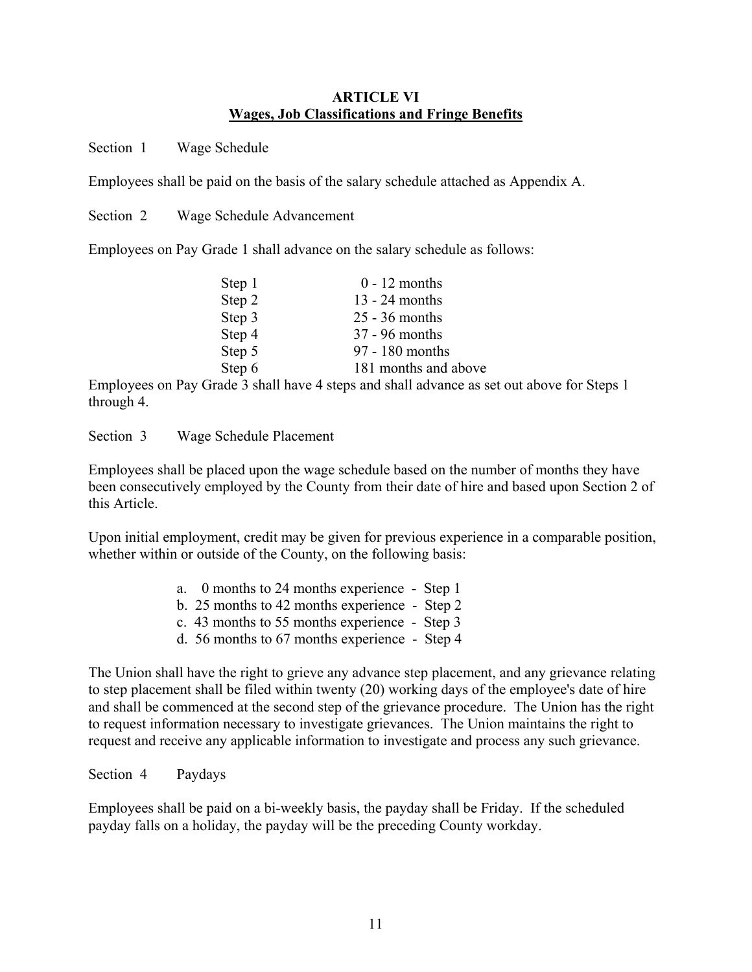### **ARTICLE VI Wages, Job Classifications and Fringe Benefits**

Section 1 Wage Schedule

Employees shall be paid on the basis of the salary schedule attached as Appendix A.

Section 2 Wage Schedule Advancement

Employees on Pay Grade 1 shall advance on the salary schedule as follows:

| Step 1 | $0 - 12$ months      |
|--------|----------------------|
| Step 2 | $13 - 24$ months     |
| Step 3 | $25 - 36$ months     |
| Step 4 | 37 - 96 months       |
| Step 5 | 97 - 180 months      |
| Step 6 | 181 months and above |
|        |                      |

Employees on Pay Grade 3 shall have 4 steps and shall advance as set out above for Steps 1 through 4.

Section 3 Wage Schedule Placement

Employees shall be placed upon the wage schedule based on the number of months they have been consecutively employed by the County from their date of hire and based upon Section 2 of this Article.

Upon initial employment, credit may be given for previous experience in a comparable position, whether within or outside of the County, on the following basis:

- a. 0 months to 24 months experience Step 1
- b. 25 months to 42 months experience Step 2
- c. 43 months to 55 months experience Step 3
- d. 56 months to 67 months experience Step 4

The Union shall have the right to grieve any advance step placement, and any grievance relating to step placement shall be filed within twenty (20) working days of the employee's date of hire and shall be commenced at the second step of the grievance procedure. The Union has the right to request information necessary to investigate grievances. The Union maintains the right to request and receive any applicable information to investigate and process any such grievance.

Section 4 Paydays

Employees shall be paid on a bi-weekly basis, the payday shall be Friday. If the scheduled payday falls on a holiday, the payday will be the preceding County workday.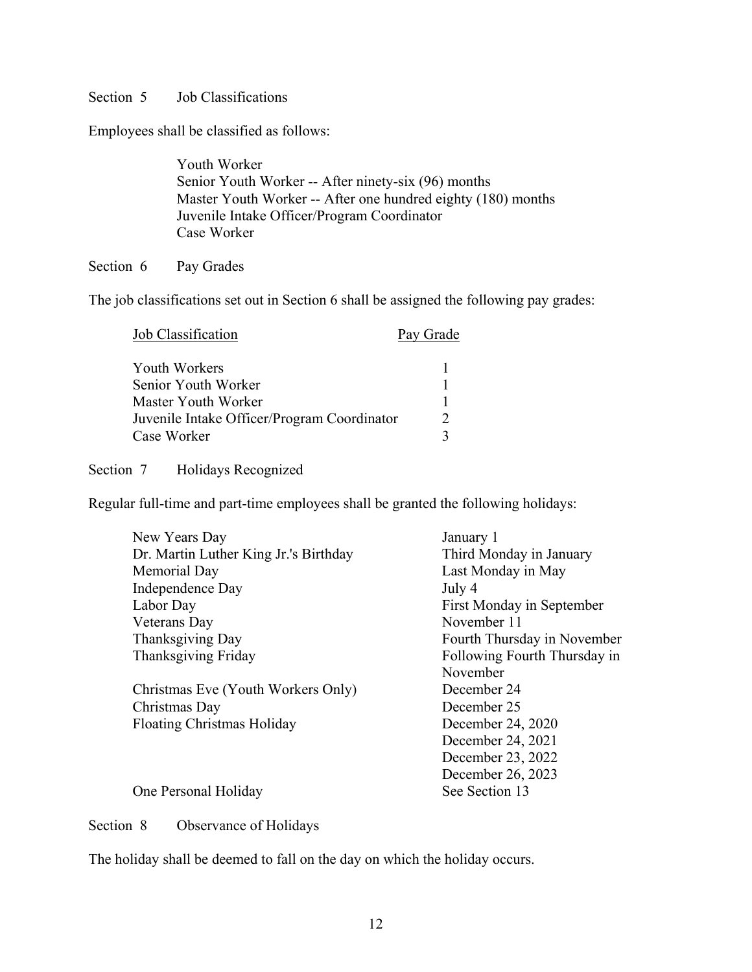### Section 5 Job Classifications

Employees shall be classified as follows:

Youth Worker Senior Youth Worker -- After ninety-six (96) months Master Youth Worker -- After one hundred eighty (180) months Juvenile Intake Officer/Program Coordinator Case Worker

#### Section 6 Pay Grades

The job classifications set out in Section 6 shall be assigned the following pay grades:

| Job Classification                          | Pay Grade |
|---------------------------------------------|-----------|
| Youth Workers                               |           |
| Senior Youth Worker                         |           |
| Master Youth Worker                         |           |
| Juvenile Intake Officer/Program Coordinator |           |
| Case Worker                                 |           |

Section 7 Holidays Recognized

Regular full-time and part-time employees shall be granted the following holidays:

| January 1                    |
|------------------------------|
| Third Monday in January      |
| Last Monday in May           |
| July 4                       |
| First Monday in September    |
| November 11                  |
| Fourth Thursday in November  |
| Following Fourth Thursday in |
| November                     |
| December 24                  |
| December 25                  |
| December 24, 2020            |
| December 24, 2021            |
| December 23, 2022            |
| December 26, 2023            |
| See Section 13               |
|                              |

Section 8 Observance of Holidays

The holiday shall be deemed to fall on the day on which the holiday occurs.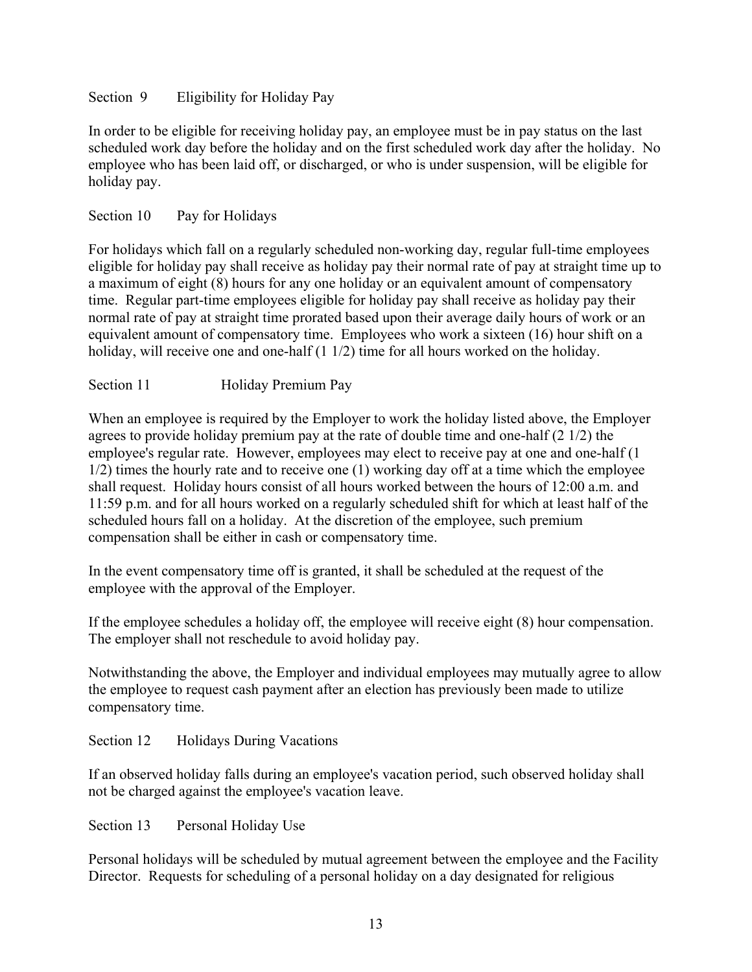## Section 9 Eligibility for Holiday Pay

In order to be eligible for receiving holiday pay, an employee must be in pay status on the last scheduled work day before the holiday and on the first scheduled work day after the holiday. No employee who has been laid off, or discharged, or who is under suspension, will be eligible for holiday pay.

## Section 10 Pay for Holidays

For holidays which fall on a regularly scheduled non-working day, regular full-time employees eligible for holiday pay shall receive as holiday pay their normal rate of pay at straight time up to a maximum of eight (8) hours for any one holiday or an equivalent amount of compensatory time. Regular part-time employees eligible for holiday pay shall receive as holiday pay their normal rate of pay at straight time prorated based upon their average daily hours of work or an equivalent amount of compensatory time. Employees who work a sixteen (16) hour shift on a holiday, will receive one and one-half (1 1/2) time for all hours worked on the holiday.

## Section 11 Holiday Premium Pay

When an employee is required by the Employer to work the holiday listed above, the Employer agrees to provide holiday premium pay at the rate of double time and one-half (2 1/2) the employee's regular rate. However, employees may elect to receive pay at one and one-half (1 1/2) times the hourly rate and to receive one (1) working day off at a time which the employee shall request. Holiday hours consist of all hours worked between the hours of 12:00 a.m. and 11:59 p.m. and for all hours worked on a regularly scheduled shift for which at least half of the scheduled hours fall on a holiday. At the discretion of the employee, such premium compensation shall be either in cash or compensatory time.

In the event compensatory time off is granted, it shall be scheduled at the request of the employee with the approval of the Employer.

If the employee schedules a holiday off, the employee will receive eight (8) hour compensation. The employer shall not reschedule to avoid holiday pay.

Notwithstanding the above, the Employer and individual employees may mutually agree to allow the employee to request cash payment after an election has previously been made to utilize compensatory time.

Section 12 Holidays During Vacations

If an observed holiday falls during an employee's vacation period, such observed holiday shall not be charged against the employee's vacation leave.

Section 13 Personal Holiday Use

Personal holidays will be scheduled by mutual agreement between the employee and the Facility Director. Requests for scheduling of a personal holiday on a day designated for religious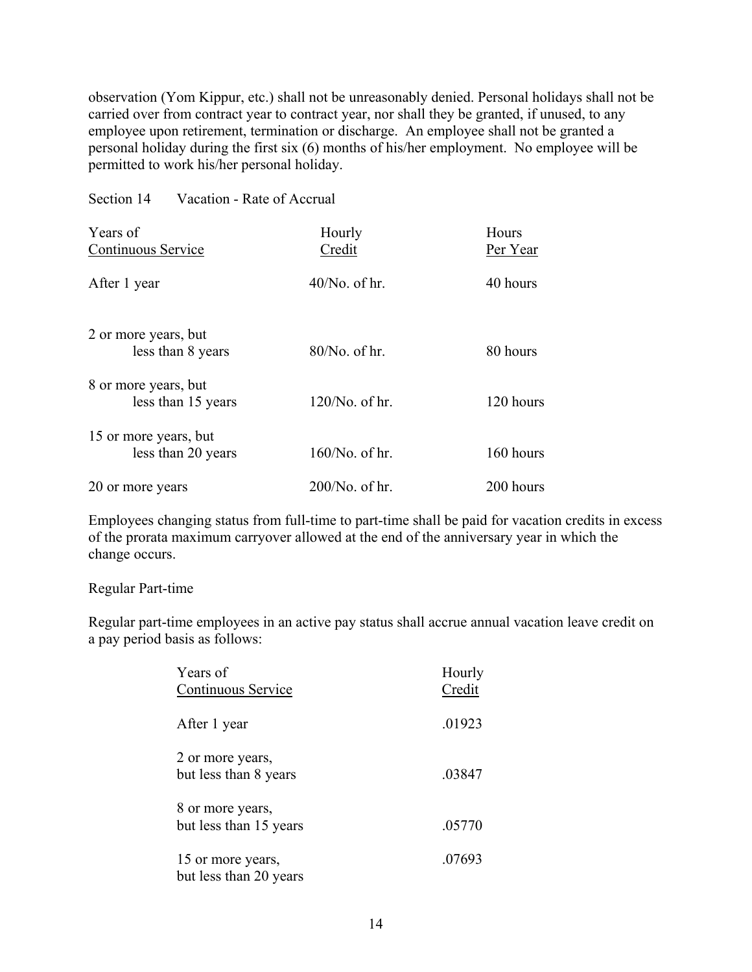observation (Yom Kippur, etc.) shall not be unreasonably denied. Personal holidays shall not be carried over from contract year to contract year, nor shall they be granted, if unused, to any employee upon retirement, termination or discharge. An employee shall not be granted a personal holiday during the first six (6) months of his/her employment. No employee will be permitted to work his/her personal holiday.

Section 14 Vacation - Rate of Accrual

| Years of              | Hourly            | Hours     |
|-----------------------|-------------------|-----------|
| Continuous Service    | Credit            | Per Year  |
| After 1 year          | $40/No$ , of hr.  | 40 hours  |
| 2 or more years, but  |                   |           |
| less than 8 years     | 80/No. of hr.     | 80 hours  |
| 8 or more years, but  |                   |           |
| less than 15 years    | $120/No$ . of hr. | 120 hours |
| 15 or more years, but |                   |           |
| less than 20 years    | $160/N$ o. of hr. | 160 hours |
| 20 or more years      | $200/No$ . of hr. | 200 hours |

Employees changing status from full-time to part-time shall be paid for vacation credits in excess of the prorata maximum carryover allowed at the end of the anniversary year in which the change occurs.

#### Regular Part-time

Regular part-time employees in an active pay status shall accrue annual vacation leave credit on a pay period basis as follows:

| Years of<br>Continuous Service              | Hourly<br>Credit |
|---------------------------------------------|------------------|
| After 1 year                                | .01923           |
| 2 or more years,<br>but less than 8 years   | .03847           |
| 8 or more years,                            |                  |
| but less than 15 years                      | .05770           |
| 15 or more years,<br>but less than 20 years | .07693           |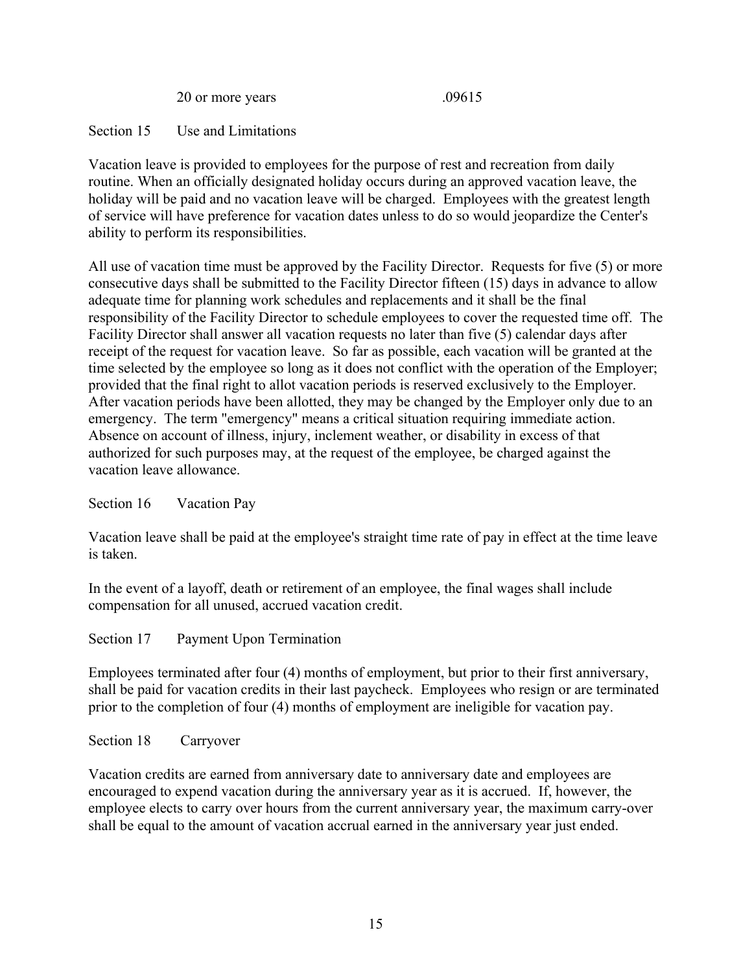20 or more years .09615

Section 15 Use and Limitations

Vacation leave is provided to employees for the purpose of rest and recreation from daily routine. When an officially designated holiday occurs during an approved vacation leave, the holiday will be paid and no vacation leave will be charged. Employees with the greatest length of service will have preference for vacation dates unless to do so would jeopardize the Center's ability to perform its responsibilities.

All use of vacation time must be approved by the Facility Director. Requests for five (5) or more consecutive days shall be submitted to the Facility Director fifteen (15) days in advance to allow adequate time for planning work schedules and replacements and it shall be the final responsibility of the Facility Director to schedule employees to cover the requested time off. The Facility Director shall answer all vacation requests no later than five (5) calendar days after receipt of the request for vacation leave. So far as possible, each vacation will be granted at the time selected by the employee so long as it does not conflict with the operation of the Employer; provided that the final right to allot vacation periods is reserved exclusively to the Employer. After vacation periods have been allotted, they may be changed by the Employer only due to an emergency. The term "emergency" means a critical situation requiring immediate action. Absence on account of illness, injury, inclement weather, or disability in excess of that authorized for such purposes may, at the request of the employee, be charged against the vacation leave allowance.

Section 16 Vacation Pay

Vacation leave shall be paid at the employee's straight time rate of pay in effect at the time leave is taken.

In the event of a layoff, death or retirement of an employee, the final wages shall include compensation for all unused, accrued vacation credit.

Section 17 Payment Upon Termination

Employees terminated after four (4) months of employment, but prior to their first anniversary, shall be paid for vacation credits in their last paycheck. Employees who resign or are terminated prior to the completion of four (4) months of employment are ineligible for vacation pay.

Section 18 Carryover

Vacation credits are earned from anniversary date to anniversary date and employees are encouraged to expend vacation during the anniversary year as it is accrued. If, however, the employee elects to carry over hours from the current anniversary year, the maximum carry-over shall be equal to the amount of vacation accrual earned in the anniversary year just ended.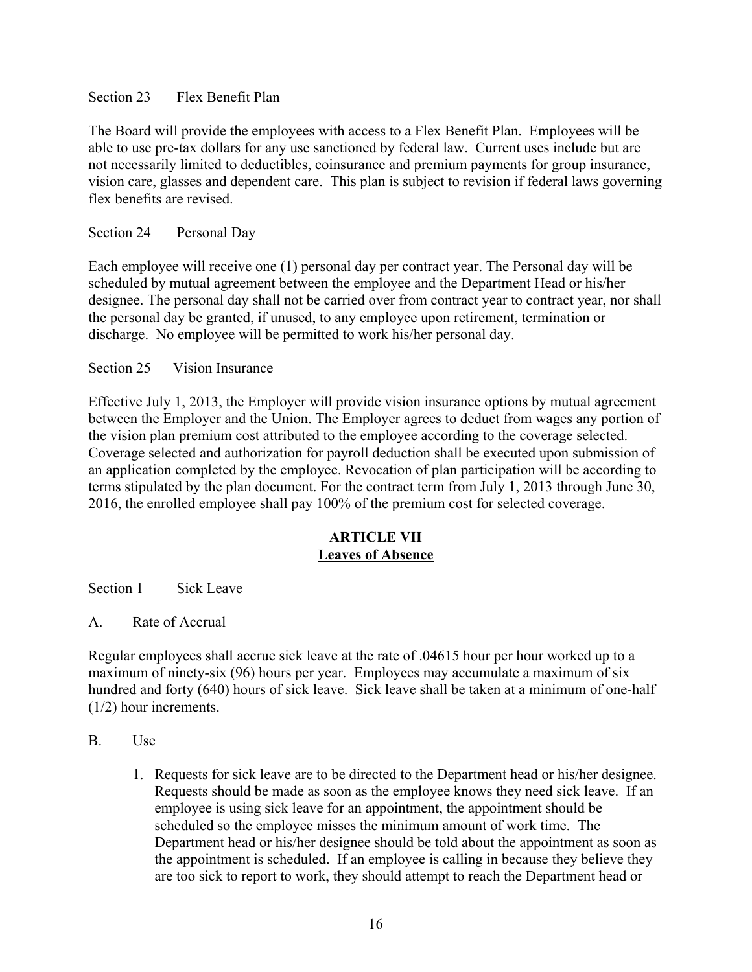## Section 23 Flex Benefit Plan

The Board will provide the employees with access to a Flex Benefit Plan. Employees will be able to use pre-tax dollars for any use sanctioned by federal law. Current uses include but are not necessarily limited to deductibles, coinsurance and premium payments for group insurance, vision care, glasses and dependent care. This plan is subject to revision if federal laws governing flex benefits are revised.

Section 24 Personal Day

Each employee will receive one (1) personal day per contract year. The Personal day will be scheduled by mutual agreement between the employee and the Department Head or his/her designee. The personal day shall not be carried over from contract year to contract year, nor shall the personal day be granted, if unused, to any employee upon retirement, termination or discharge. No employee will be permitted to work his/her personal day.

## Section 25 Vision Insurance

Effective July 1, 2013, the Employer will provide vision insurance options by mutual agreement between the Employer and the Union. The Employer agrees to deduct from wages any portion of the vision plan premium cost attributed to the employee according to the coverage selected. Coverage selected and authorization for payroll deduction shall be executed upon submission of an application completed by the employee. Revocation of plan participation will be according to terms stipulated by the plan document. For the contract term from July 1, 2013 through June 30, 2016, the enrolled employee shall pay 100% of the premium cost for selected coverage.

## **ARTICLE VII Leaves of Absence**

Section 1 Sick Leave

A. Rate of Accrual

Regular employees shall accrue sick leave at the rate of .04615 hour per hour worked up to a maximum of ninety-six (96) hours per year. Employees may accumulate a maximum of six hundred and forty (640) hours of sick leave. Sick leave shall be taken at a minimum of one-half (1/2) hour increments.

- B. Use
	- 1. Requests for sick leave are to be directed to the Department head or his/her designee. Requests should be made as soon as the employee knows they need sick leave. If an employee is using sick leave for an appointment, the appointment should be scheduled so the employee misses the minimum amount of work time. The Department head or his/her designee should be told about the appointment as soon as the appointment is scheduled. If an employee is calling in because they believe they are too sick to report to work, they should attempt to reach the Department head or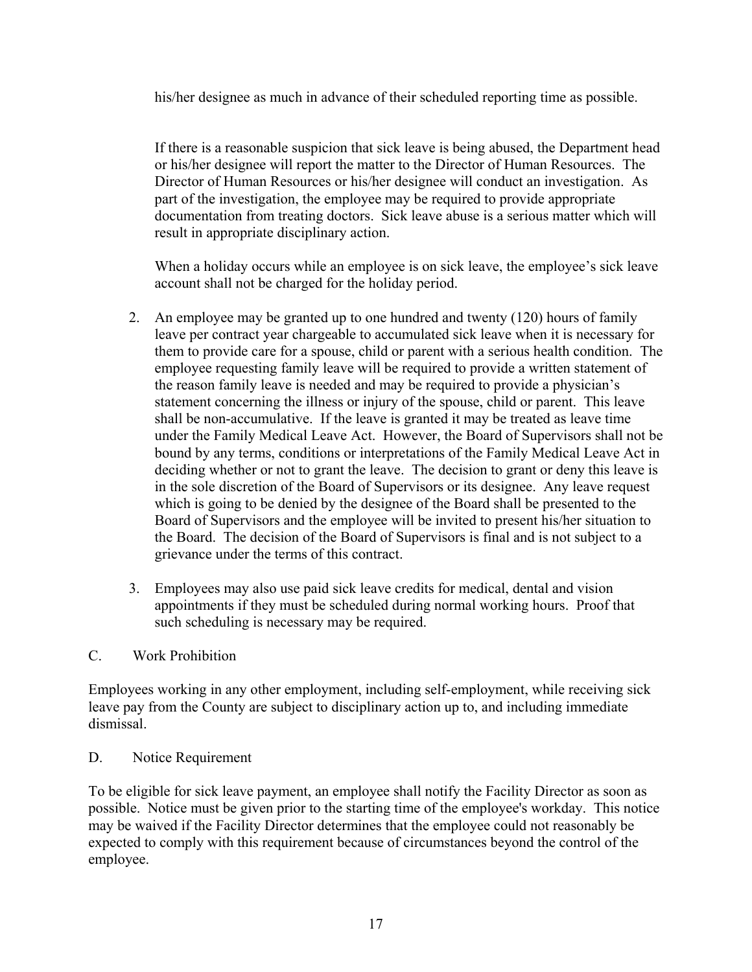his/her designee as much in advance of their scheduled reporting time as possible.

If there is a reasonable suspicion that sick leave is being abused, the Department head or his/her designee will report the matter to the Director of Human Resources. The Director of Human Resources or his/her designee will conduct an investigation. As part of the investigation, the employee may be required to provide appropriate documentation from treating doctors. Sick leave abuse is a serious matter which will result in appropriate disciplinary action.

When a holiday occurs while an employee is on sick leave, the employee's sick leave account shall not be charged for the holiday period.

- 2. An employee may be granted up to one hundred and twenty (120) hours of family leave per contract year chargeable to accumulated sick leave when it is necessary for them to provide care for a spouse, child or parent with a serious health condition. The employee requesting family leave will be required to provide a written statement of the reason family leave is needed and may be required to provide a physician's statement concerning the illness or injury of the spouse, child or parent. This leave shall be non-accumulative. If the leave is granted it may be treated as leave time under the Family Medical Leave Act. However, the Board of Supervisors shall not be bound by any terms, conditions or interpretations of the Family Medical Leave Act in deciding whether or not to grant the leave. The decision to grant or deny this leave is in the sole discretion of the Board of Supervisors or its designee. Any leave request which is going to be denied by the designee of the Board shall be presented to the Board of Supervisors and the employee will be invited to present his/her situation to the Board. The decision of the Board of Supervisors is final and is not subject to a grievance under the terms of this contract.
- 3. Employees may also use paid sick leave credits for medical, dental and vision appointments if they must be scheduled during normal working hours. Proof that such scheduling is necessary may be required.

### C. Work Prohibition

Employees working in any other employment, including self-employment, while receiving sick leave pay from the County are subject to disciplinary action up to, and including immediate dismissal.

### D. Notice Requirement

To be eligible for sick leave payment, an employee shall notify the Facility Director as soon as possible. Notice must be given prior to the starting time of the employee's workday. This notice may be waived if the Facility Director determines that the employee could not reasonably be expected to comply with this requirement because of circumstances beyond the control of the employee.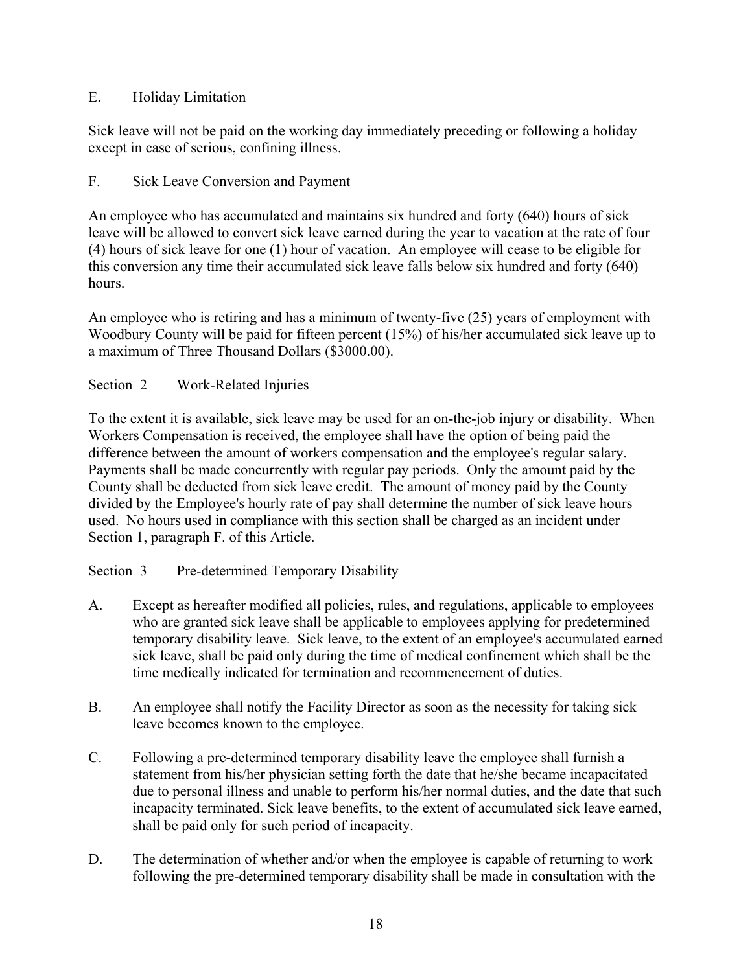## E. Holiday Limitation

Sick leave will not be paid on the working day immediately preceding or following a holiday except in case of serious, confining illness.

F. Sick Leave Conversion and Payment

An employee who has accumulated and maintains six hundred and forty (640) hours of sick leave will be allowed to convert sick leave earned during the year to vacation at the rate of four (4) hours of sick leave for one (1) hour of vacation. An employee will cease to be eligible for this conversion any time their accumulated sick leave falls below six hundred and forty (640) hours.

An employee who is retiring and has a minimum of twenty-five (25) years of employment with Woodbury County will be paid for fifteen percent (15%) of his/her accumulated sick leave up to a maximum of Three Thousand Dollars (\$3000.00).

## Section 2 Work-Related Injuries

To the extent it is available, sick leave may be used for an on-the-job injury or disability. When Workers Compensation is received, the employee shall have the option of being paid the difference between the amount of workers compensation and the employee's regular salary. Payments shall be made concurrently with regular pay periods. Only the amount paid by the County shall be deducted from sick leave credit. The amount of money paid by the County divided by the Employee's hourly rate of pay shall determine the number of sick leave hours used. No hours used in compliance with this section shall be charged as an incident under Section 1, paragraph F. of this Article.

# Section 3 Pre-determined Temporary Disability

- A. Except as hereafter modified all policies, rules, and regulations, applicable to employees who are granted sick leave shall be applicable to employees applying for predetermined temporary disability leave. Sick leave, to the extent of an employee's accumulated earned sick leave, shall be paid only during the time of medical confinement which shall be the time medically indicated for termination and recommencement of duties.
- B. An employee shall notify the Facility Director as soon as the necessity for taking sick leave becomes known to the employee.
- C. Following a pre-determined temporary disability leave the employee shall furnish a statement from his/her physician setting forth the date that he/she became incapacitated due to personal illness and unable to perform his/her normal duties, and the date that such incapacity terminated. Sick leave benefits, to the extent of accumulated sick leave earned, shall be paid only for such period of incapacity.
- D. The determination of whether and/or when the employee is capable of returning to work following the pre-determined temporary disability shall be made in consultation with the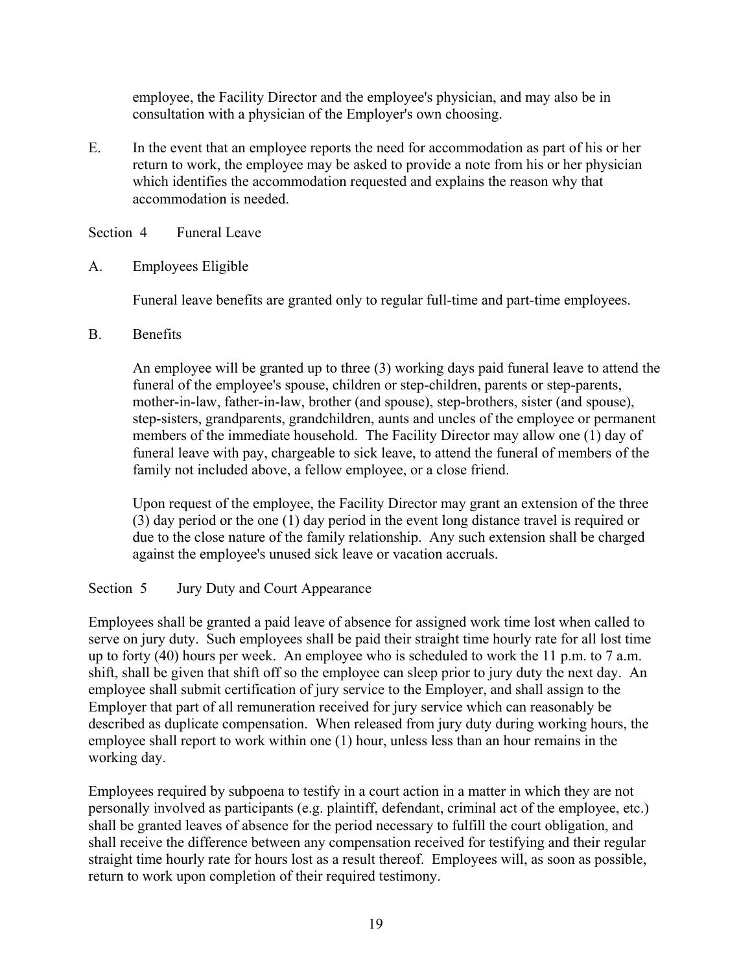employee, the Facility Director and the employee's physician, and may also be in consultation with a physician of the Employer's own choosing.

E. In the event that an employee reports the need for accommodation as part of his or her return to work, the employee may be asked to provide a note from his or her physician which identifies the accommodation requested and explains the reason why that accommodation is needed.

Section 4 Funeral Leave

A. Employees Eligible

Funeral leave benefits are granted only to regular full-time and part-time employees.

B. Benefits

An employee will be granted up to three (3) working days paid funeral leave to attend the funeral of the employee's spouse, children or step-children, parents or step-parents, mother-in-law, father-in-law, brother (and spouse), step-brothers, sister (and spouse), step-sisters, grandparents, grandchildren, aunts and uncles of the employee or permanent members of the immediate household. The Facility Director may allow one (1) day of funeral leave with pay, chargeable to sick leave, to attend the funeral of members of the family not included above, a fellow employee, or a close friend.

Upon request of the employee, the Facility Director may grant an extension of the three (3) day period or the one (1) day period in the event long distance travel is required or due to the close nature of the family relationship. Any such extension shall be charged against the employee's unused sick leave or vacation accruals.

Section 5 Jury Duty and Court Appearance

Employees shall be granted a paid leave of absence for assigned work time lost when called to serve on jury duty. Such employees shall be paid their straight time hourly rate for all lost time up to forty (40) hours per week. An employee who is scheduled to work the 11 p.m. to 7 a.m. shift, shall be given that shift off so the employee can sleep prior to jury duty the next day. An employee shall submit certification of jury service to the Employer, and shall assign to the Employer that part of all remuneration received for jury service which can reasonably be described as duplicate compensation. When released from jury duty during working hours, the employee shall report to work within one (1) hour, unless less than an hour remains in the working day.

Employees required by subpoena to testify in a court action in a matter in which they are not personally involved as participants (e.g. plaintiff, defendant, criminal act of the employee, etc.) shall be granted leaves of absence for the period necessary to fulfill the court obligation, and shall receive the difference between any compensation received for testifying and their regular straight time hourly rate for hours lost as a result thereof. Employees will, as soon as possible, return to work upon completion of their required testimony.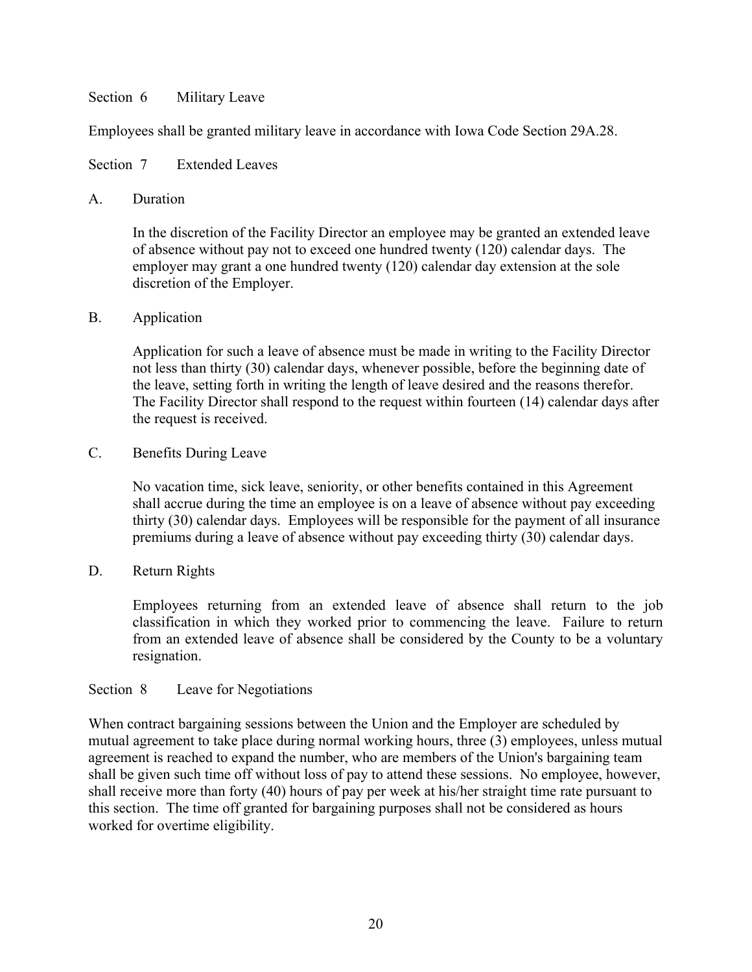### Section 6 Military Leave

Employees shall be granted military leave in accordance with Iowa Code Section 29A.28.

Section 7 Extended Leaves

### A. Duration

In the discretion of the Facility Director an employee may be granted an extended leave of absence without pay not to exceed one hundred twenty (120) calendar days. The employer may grant a one hundred twenty (120) calendar day extension at the sole discretion of the Employer.

## B. Application

Application for such a leave of absence must be made in writing to the Facility Director not less than thirty (30) calendar days, whenever possible, before the beginning date of the leave, setting forth in writing the length of leave desired and the reasons therefor. The Facility Director shall respond to the request within fourteen (14) calendar days after the request is received.

## C. Benefits During Leave

No vacation time, sick leave, seniority, or other benefits contained in this Agreement shall accrue during the time an employee is on a leave of absence without pay exceeding thirty (30) calendar days. Employees will be responsible for the payment of all insurance premiums during a leave of absence without pay exceeding thirty (30) calendar days.

## D. Return Rights

Employees returning from an extended leave of absence shall return to the job classification in which they worked prior to commencing the leave. Failure to return from an extended leave of absence shall be considered by the County to be a voluntary resignation.

### Section 8 Leave for Negotiations

When contract bargaining sessions between the Union and the Employer are scheduled by mutual agreement to take place during normal working hours, three (3) employees, unless mutual agreement is reached to expand the number, who are members of the Union's bargaining team shall be given such time off without loss of pay to attend these sessions. No employee, however, shall receive more than forty (40) hours of pay per week at his/her straight time rate pursuant to this section. The time off granted for bargaining purposes shall not be considered as hours worked for overtime eligibility.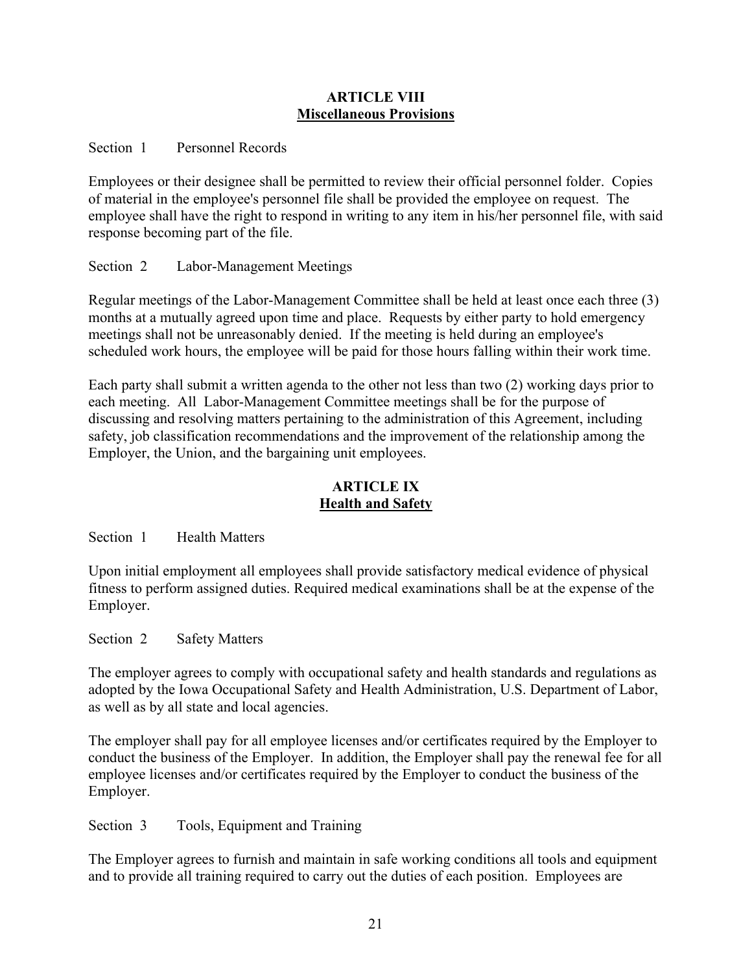### **ARTICLE VIII Miscellaneous Provisions**

## Section 1 Personnel Records

Employees or their designee shall be permitted to review their official personnel folder. Copies of material in the employee's personnel file shall be provided the employee on request. The employee shall have the right to respond in writing to any item in his/her personnel file, with said response becoming part of the file.

## Section 2 Labor-Management Meetings

Regular meetings of the Labor-Management Committee shall be held at least once each three (3) months at a mutually agreed upon time and place. Requests by either party to hold emergency meetings shall not be unreasonably denied. If the meeting is held during an employee's scheduled work hours, the employee will be paid for those hours falling within their work time.

Each party shall submit a written agenda to the other not less than two (2) working days prior to each meeting. All Labor-Management Committee meetings shall be for the purpose of discussing and resolving matters pertaining to the administration of this Agreement, including safety, job classification recommendations and the improvement of the relationship among the Employer, the Union, and the bargaining unit employees.

## **ARTICLE IX Health and Safety**

Section 1 Health Matters

Upon initial employment all employees shall provide satisfactory medical evidence of physical fitness to perform assigned duties. Required medical examinations shall be at the expense of the Employer.

Section 2 Safety Matters

The employer agrees to comply with occupational safety and health standards and regulations as adopted by the Iowa Occupational Safety and Health Administration, U.S. Department of Labor, as well as by all state and local agencies.

The employer shall pay for all employee licenses and/or certificates required by the Employer to conduct the business of the Employer. In addition, the Employer shall pay the renewal fee for all employee licenses and/or certificates required by the Employer to conduct the business of the Employer.

Section 3 Tools, Equipment and Training

The Employer agrees to furnish and maintain in safe working conditions all tools and equipment and to provide all training required to carry out the duties of each position. Employees are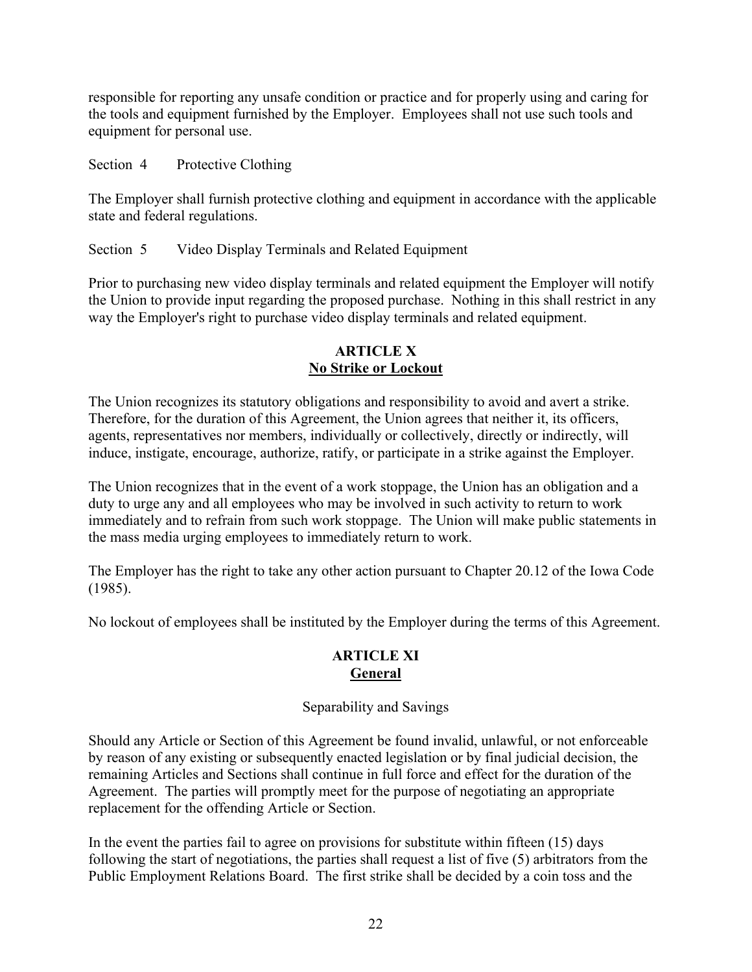responsible for reporting any unsafe condition or practice and for properly using and caring for the tools and equipment furnished by the Employer. Employees shall not use such tools and equipment for personal use.

Section 4 Protective Clothing

The Employer shall furnish protective clothing and equipment in accordance with the applicable state and federal regulations.

Section 5 Video Display Terminals and Related Equipment

Prior to purchasing new video display terminals and related equipment the Employer will notify the Union to provide input regarding the proposed purchase. Nothing in this shall restrict in any way the Employer's right to purchase video display terminals and related equipment.

## **ARTICLE X No Strike or Lockout**

The Union recognizes its statutory obligations and responsibility to avoid and avert a strike. Therefore, for the duration of this Agreement, the Union agrees that neither it, its officers, agents, representatives nor members, individually or collectively, directly or indirectly, will induce, instigate, encourage, authorize, ratify, or participate in a strike against the Employer.

The Union recognizes that in the event of a work stoppage, the Union has an obligation and a duty to urge any and all employees who may be involved in such activity to return to work immediately and to refrain from such work stoppage. The Union will make public statements in the mass media urging employees to immediately return to work.

The Employer has the right to take any other action pursuant to Chapter 20.12 of the Iowa Code (1985).

No lockout of employees shall be instituted by the Employer during the terms of this Agreement.

## **ARTICLE XI General**

# Separability and Savings

Should any Article or Section of this Agreement be found invalid, unlawful, or not enforceable by reason of any existing or subsequently enacted legislation or by final judicial decision, the remaining Articles and Sections shall continue in full force and effect for the duration of the Agreement. The parties will promptly meet for the purpose of negotiating an appropriate replacement for the offending Article or Section.

In the event the parties fail to agree on provisions for substitute within fifteen (15) days following the start of negotiations, the parties shall request a list of five (5) arbitrators from the Public Employment Relations Board. The first strike shall be decided by a coin toss and the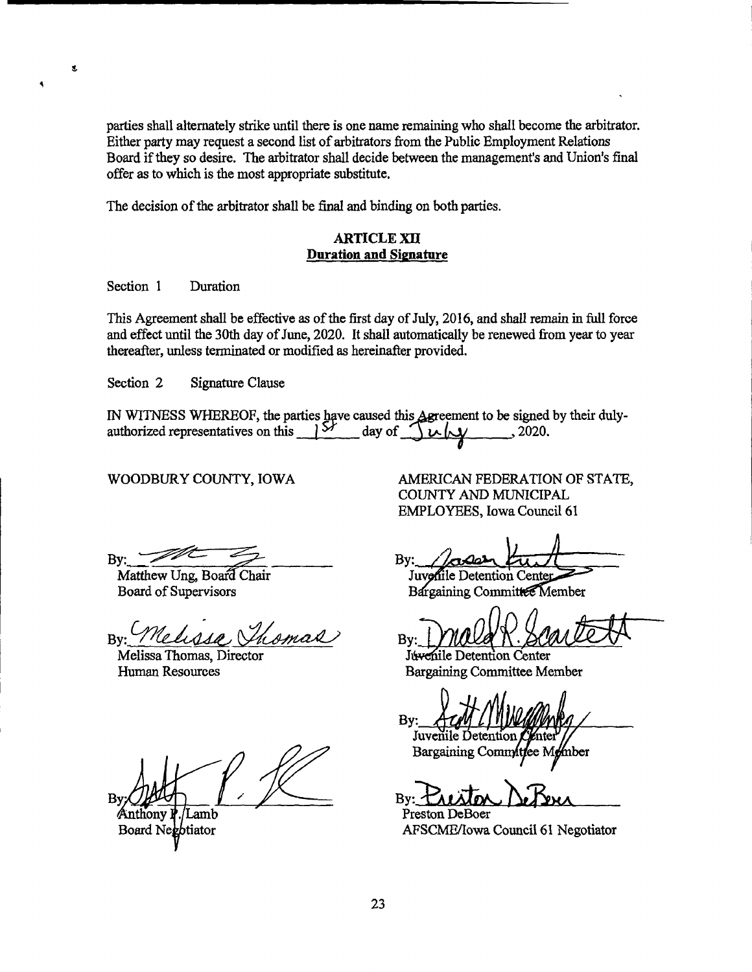parties shall alternately strike until there is one name remaining who shall become the arbitrator. Either party may request a second list of arbitrators from the Public Employment Relations Board if they so desire. The arbitrator shall decide between the management's and Union's final offer as to which is the most appropriate substitute.

The decision of the arbitrator shall be final and binding on both parties.

#### **ARTICLE XII Duration and Signature**

Section 1 Duration

s.

This Agreement shall be effective as of the first day of July, 2016, and shall remain in full force and effect until the 30th day of June, 2020. It shall automatically be renewed from year to year thereafter, unless terminated or modified as hereinafter provided.

Section 2 Signature Clause

IN WITNESS WHEREOF, the parties have caused this Agreement to be signed by their duly- $151$ authorized representatives on this day of  $\frac{1}{2}$ , 2020.  $\mu$ 

WOODBURY COUNTY, IOWA

AMERICAN FEDERATION OF STATE, COUNTY AND MUNICIPAL **EMPLOYEES, Iowa Council 61** 

By:

Matthew Ung, Board Chair Board of Supervisors

Melissa, By:

Melissa Thomas, Director Human Resources

B٦

Anthony **P**. 'Lamb Board Negotiator

By:

Juvenile Detention Center Bargaining Committee Member

Bv:

Juvenile Detention Center **Bargaining Committee Member** 

By: Juvenile Detent

mber Bargaining Committee M

B٧

Preston DeBoer AFSCME/Iowa Council 61 Negotiator